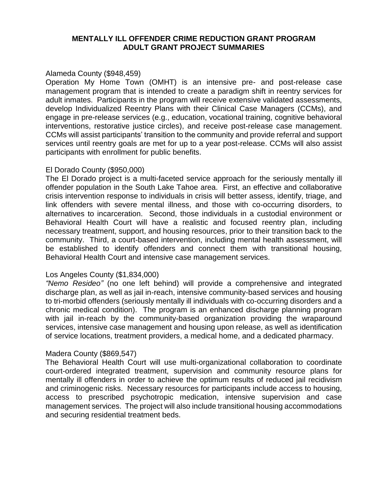## **MENTALLY ILL OFFENDER CRIME REDUCTION GRANT PROGRAM ADULT GRANT PROJECT SUMMARIES**

## Alameda County (\$948,459)

Operation My Home Town (OMHT) is an intensive pre- and post-release case management program that is intended to create a paradigm shift in reentry services for adult inmates. Participants in the program will receive extensive validated assessments, develop Individualized Reentry Plans with their Clinical Case Managers (CCMs), and engage in pre-release services (e.g., education, vocational training, cognitive behavioral interventions, restorative justice circles), and receive post-release case management. CCMs will assist participants' transition to the community and provide referral and support services until reentry goals are met for up to a year post-release. CCMs will also assist participants with enrollment for public benefits.

### El Dorado County (\$950,000)

The El Dorado project is a multi-faceted service approach for the seriously mentally ill offender population in the South Lake Tahoe area. First, an effective and collaborative crisis intervention response to individuals in crisis will better assess, identify, triage, and link offenders with severe mental illness, and those with co-occurring disorders, to alternatives to incarceration. Second, those individuals in a custodial environment or Behavioral Health Court will have a realistic and focused reentry plan, including necessary treatment, support, and housing resources, prior to their transition back to the community. Third, a court-based intervention, including mental health assessment, will be established to identify offenders and connect them with transitional housing, Behavioral Health Court and intensive case management services.

# Los Angeles County (\$1,834,000)

*"Nemo Resideo"* (no one left behind) will provide a comprehensive and integrated discharge plan, as well as jail in-reach, intensive community-based services and housing to tri-morbid offenders (seriously mentally ill individuals with co-occurring disorders and a chronic medical condition). The program is an enhanced discharge planning program with jail in-reach by the community-based organization providing the wraparound services, intensive case management and housing upon release, as well as identification of service locations, treatment providers, a medical home, and a dedicated pharmacy.

#### Madera County (\$869,547)

The Behavioral Health Court will use multi-organizational collaboration to coordinate court-ordered integrated treatment, supervision and community resource plans for mentally ill offenders in order to achieve the optimum results of reduced jail recidivism and criminogenic risks. Necessary resources for participants include access to housing, access to prescribed psychotropic medication, intensive supervision and case management services. The project will also include transitional housing accommodations and securing residential treatment beds.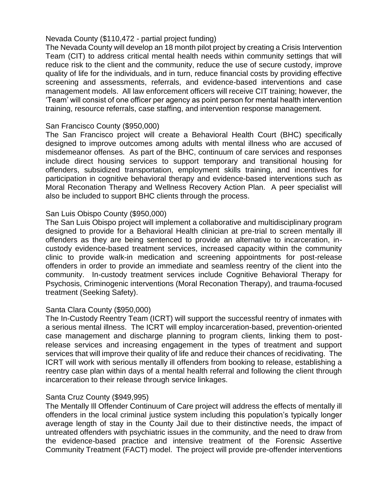# Nevada County (\$110,472 - partial project funding)

The Nevada County will develop an 18 month pilot project by creating a Crisis Intervention Team (CIT) to address critical mental health needs within community settings that will reduce risk to the client and the community, reduce the use of secure custody, improve quality of life for the individuals, and in turn, reduce financial costs by providing effective screening and assessments, referrals, and evidence-based interventions and case management models. All law enforcement officers will receive CIT training; however, the 'Team' will consist of one officer per agency as point person for mental health intervention training, resource referrals, case staffing, and intervention response management.

# San Francisco County (\$950,000)

The San Francisco project will create a Behavioral Health Court (BHC) specifically designed to improve outcomes among adults with mental illness who are accused of misdemeanor offenses. As part of the BHC, continuum of care services and responses include direct housing services to support temporary and transitional housing for offenders, subsidized transportation, employment skills training, and incentives for participation in cognitive behavioral therapy and evidence-based interventions such as Moral Reconation Therapy and Wellness Recovery Action Plan. A peer specialist will also be included to support BHC clients through the process.

### San Luis Obispo County (\$950,000)

The San Luis Obispo project will implement a collaborative and multidisciplinary program designed to provide for a Behavioral Health clinician at pre-trial to screen mentally ill offenders as they are being sentenced to provide an alternative to incarceration, incustody evidence-based treatment services, increased capacity within the community clinic to provide walk-in medication and screening appointments for post-release offenders in order to provide an immediate and seamless reentry of the client into the community. In-custody treatment services include Cognitive Behavioral Therapy for Psychosis, Criminogenic interventions (Moral Reconation Therapy), and trauma-focused treatment (Seeking Safety).

# Santa Clara County (\$950,000)

The In-Custody Reentry Team (ICRT) will support the successful reentry of inmates with a serious mental illness. The ICRT will employ incarceration-based, prevention-oriented case management and discharge planning to program clients, linking them to postrelease services and increasing engagement in the types of treatment and support services that will improve their quality of life and reduce their chances of recidivating. The ICRT will work with serious mentally ill offenders from booking to release, establishing a reentry case plan within days of a mental health referral and following the client through incarceration to their release through service linkages.

# Santa Cruz County (\$949,995)

The Mentally Ill Offender Continuum of Care project will address the effects of mentally ill offenders in the local criminal justice system including this population's typically longer average length of stay in the County Jail due to their distinctive needs, the impact of untreated offenders with psychiatric issues in the community, and the need to draw from the evidence-based practice and intensive treatment of the Forensic Assertive Community Treatment (FACT) model. The project will provide pre-offender interventions